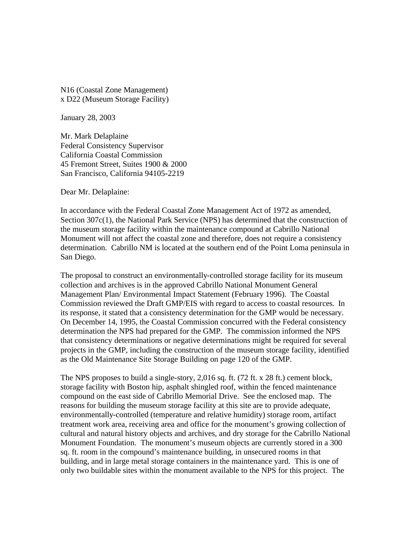N16 (Coastal Zone Management) x D22 (Museum Storage Facility)

January 28, 2003

Mr. Mark Delaplaine Federal Consistency Supervisor California Coastal Commission 45 Fremont Street, Suites 1900 & 2000 San Francisco, California 94105-2219

Dear Mr. Delaplaine:

In accordance with the Federal Coastal Zone Management Act of 1972 as amended, Section 307c(1), the National Park Service (NPS) has determined that the construction of the museum storage facility within the maintenance compound at Cabrillo National Monument will not affect the coastal zone and therefore, does not require a consistency determination. Cabrillo NM is located at the southern end of the Point Loma peninsula in San Diego.

The proposal to construct an environmentally-controlled storage facility for its museum collection and archives is in the approved Cabrillo National Monument General Management Plan/ Environmental Impact Statement (February 1996). The Coastal Commission reviewed the Draft GMP/EIS with regard to access to coastal resources. In its response, it stated that a consistency determination for the GMP would be necessary. On December 14, 1995, the Coastal Commission concurred with the Federal consistency determination the NPS had prepared for the GMP. The commission informed the NPS that consistency determinations or negative determinations might be required for several projects in the GMP, including the construction of the museum storage facility, identified as the Old Maintenance Site Storage Building on page 120 of the GMP.

The NPS proposes to build a single-story, 2,016 sq. ft. (72 ft. x 28 ft.) cement block, storage facility with Boston hip, asphalt shingled roof, within the fenced maintenance compound on the east side of Cabrillo Memorial Drive. See the enclosed map. The reasons for building the museum storage facility at this site are to provide adequate, environmentally-controlled (temperature and relative humidity) storage room, artifact treatment work area, receiving area and office for the monument's growing collection of cultural and natural history objects and archives, and dry storage for the Cabrillo National Monument Foundation. The monument's museum objects are currently stored in a 300 sq. ft. room in the compound's maintenance building, in unsecured rooms in that building, and in large metal storage containers in the maintenance yard. This is one of only two buildable sites within the monument available to the NPS for this project. The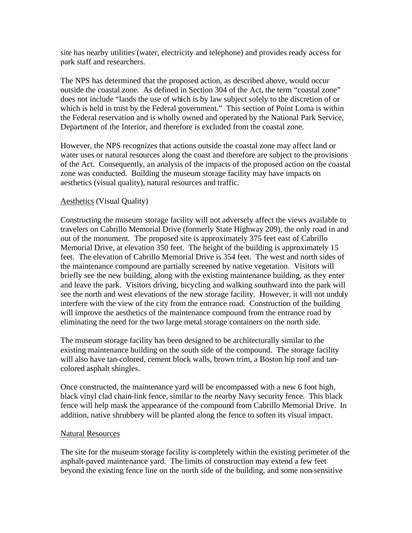site has nearby utilities (water, electricity and telephone) and provides ready access for park staff and researchers.

The NPS has determined that the proposed action, as described above, would occur outside the coastal zone. As defined in Section 304 of the Act, the term "coastal zone" does not include "lands the use of which is by law subject solely to the discretion of or which is held in trust by the Federal government." This section of Point Loma is within the Federal reservation and is wholly owned and operated by the National Park Service, Department of the Interior, and therefore is excluded from the coastal zone.

However, the NPS recognizes that actions outside the coastal zone may affect land or water uses or natural resources along the coast and therefore are subject to the provisions of the Act. Consequently, an analysis of the impacts of the proposed action on the coastal zone was conducted. Building the museum storage facility may have impacts on aesthetics (visual quality), natural resources and traffic.

## Aesthetics (Visual Quality)

Constructing the museum storage facility will not adversely affect the views available to travelers on Cabrillo Memorial Drive (formerly State Highway 209), the only road in and out of the monument. The proposed site is approximately 375 feet east of Cabrillo Memorial Drive, at elevation 350 feet. The height of the building is approximately 15 feet. The elevation of Cabrillo Memorial Drive is 354 feet. The west and north sides of the maintenance compound are partially screened by native vegetation. Visitors will briefly see the new building, along with the existing maintenance building, as they enter and leave the park. Visitors driving, bicycling and walking southward into the park will see the north and west elevations of the new storage facility. However, it will not unduly interfere with the view of the city from the entrance road. Construction of the building will improve the aesthetics of the maintenance compound from the entrance road by eliminating the need for the two large metal storage containers on the north side.

The museum storage facility has been designed to be architecturally similar to the existing maintenance building on the south side of the compound. The storage facility will also have tan-colored, cement block walls, brown trim, a Boston hip roof and tancolored asphalt shingles.

Once constructed, the maintenance yard will be encompassed with a new 6 foot high, black vinyl clad chain-link fence, similar to the nearby Navy security fence. This black fence will help mask the appearance of the compound from Cabrillo Memorial Drive. In addition, native shrubbery will be planted along the fence to soften its visual impact.

## Natural Resources

The site for the museum storage facility is completely within the existing perimeter of the asphalt-paved maintenance yard. The limits of construction may extend a few feet beyond the existing fence line on the north side of the building, and some non-sensitive